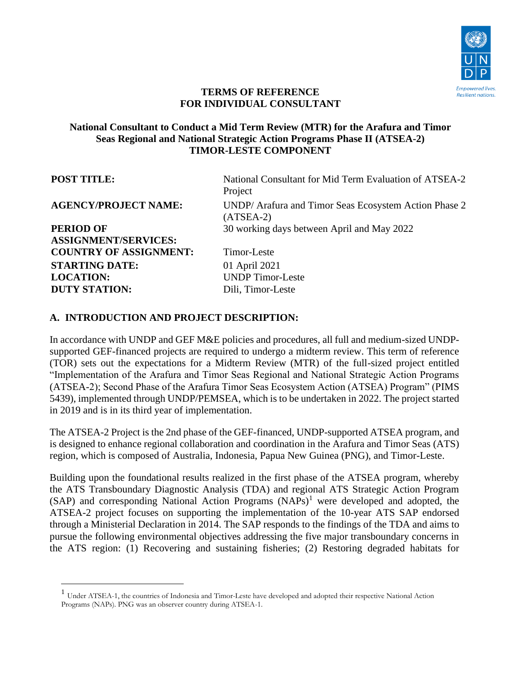

#### **TERMS OF REFERENCE FOR INDIVIDUAL CONSULTANT**

#### **National Consultant to Conduct a Mid Term Review (MTR) for the Arafura and Timor Seas Regional and National Strategic Action Programs Phase II (ATSEA-2) TIMOR-LESTE COMPONENT**

| <b>POST TITLE:</b>            | National Consultant for Mid Term Evaluation of ATSEA-2<br>Project    |
|-------------------------------|----------------------------------------------------------------------|
| <b>AGENCY/PROJECT NAME:</b>   | UNDP/ Arafura and Timor Seas Ecosystem Action Phase 2<br>$(ATSEA-2)$ |
| <b>PERIOD OF</b>              | 30 working days between April and May 2022                           |
| <b>ASSIGNMENT/SERVICES:</b>   |                                                                      |
| <b>COUNTRY OF ASSIGNMENT:</b> | Timor-Leste                                                          |
| <b>STARTING DATE:</b>         | 01 April 2021                                                        |
| <b>LOCATION:</b>              | <b>UNDP</b> Timor-Leste                                              |
| <b>DUTY STATION:</b>          | Dili, Timor-Leste                                                    |

#### **A. INTRODUCTION AND PROJECT DESCRIPTION:**

In accordance with UNDP and GEF M&E policies and procedures, all full and medium-sized UNDPsupported GEF-financed projects are required to undergo a midterm review. This term of reference (TOR) sets out the expectations for a Midterm Review (MTR) of the full-sized project entitled "Implementation of the Arafura and Timor Seas Regional and National Strategic Action Programs (ATSEA-2); Second Phase of the Arafura Timor Seas Ecosystem Action (ATSEA) Program" (PIMS 5439), implemented through UNDP/PEMSEA, which is to be undertaken in 2022. The project started in 2019 and is in its third year of implementation.

The ATSEA-2 Project is the 2nd phase of the GEF-financed, UNDP-supported ATSEA program, and is designed to enhance regional collaboration and coordination in the Arafura and Timor Seas (ATS) region, which is composed of Australia, Indonesia, Papua New Guinea (PNG), and Timor-Leste.

Building upon the foundational results realized in the first phase of the ATSEA program, whereby the ATS Transboundary Diagnostic Analysis (TDA) and regional ATS Strategic Action Program  $(SAP)$  and corresponding National Action Programs  $(NAPs)^1$  were developed and adopted, the ATSEA-2 project focuses on supporting the implementation of the 10-year ATS SAP endorsed through a Ministerial Declaration in 2014. The SAP responds to the findings of the TDA and aims to pursue the following environmental objectives addressing the five major transboundary concerns in the ATS region: (1) Recovering and sustaining fisheries; (2) Restoring degraded habitats for

<sup>1</sup> Under ATSEA-1, the countries of Indonesia and Timor-Leste have developed and adopted their respective National Action Programs (NAPs). PNG was an observer country during ATSEA-1.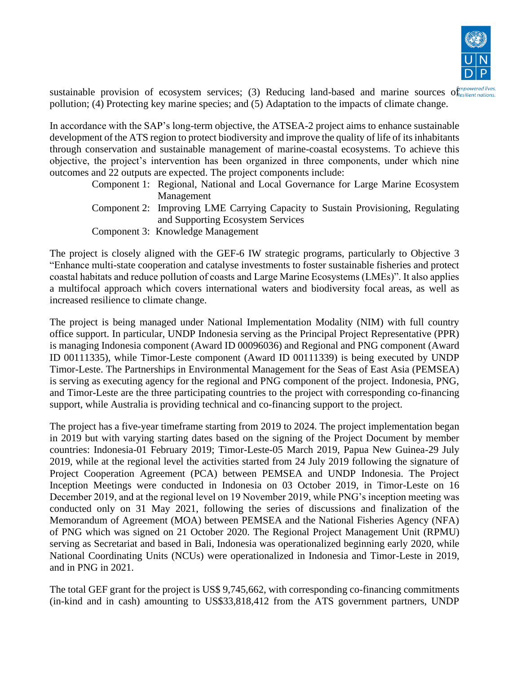

sustainable provision of ecosystem services; (3) Reducing land-based and marine sources of *esilient nations*. pollution; (4) Protecting key marine species; and (5) Adaptation to the impacts of climate change.

In accordance with the SAP's long-term objective, the ATSEA-2 project aims to enhance sustainable development of the ATS region to protect biodiversity and improve the quality of life of its inhabitants through conservation and sustainable management of marine-coastal ecosystems. To achieve this objective, the project's intervention has been organized in three components, under which nine outcomes and 22 outputs are expected. The project components include:

- Component 1: Regional, National and Local Governance for Large Marine Ecosystem Management
- Component 2: Improving LME Carrying Capacity to Sustain Provisioning, Regulating and Supporting Ecosystem Services
- Component 3: Knowledge Management

The project is closely aligned with the GEF-6 IW strategic programs, particularly to Objective 3 "Enhance multi-state cooperation and catalyse investments to foster sustainable fisheries and protect coastal habitats and reduce pollution of coasts and Large Marine Ecosystems (LMEs)". It also applies a multifocal approach which covers international waters and biodiversity focal areas, as well as increased resilience to climate change.

The project is being managed under National Implementation Modality (NIM) with full country office support. In particular, UNDP Indonesia serving as the Principal Project Representative (PPR) is managing Indonesia component (Award ID 00096036) and Regional and PNG component (Award ID 00111335), while Timor-Leste component (Award ID 00111339) is being executed by UNDP Timor-Leste. The Partnerships in Environmental Management for the Seas of East Asia (PEMSEA) is serving as executing agency for the regional and PNG component of the project. Indonesia, PNG, and Timor-Leste are the three participating countries to the project with corresponding co-financing support, while Australia is providing technical and co-financing support to the project.

The project has a five-year timeframe starting from 2019 to 2024. The project implementation began in 2019 but with varying starting dates based on the signing of the Project Document by member countries: Indonesia-01 February 2019; Timor-Leste-05 March 2019, Papua New Guinea-29 July 2019, while at the regional level the activities started from 24 July 2019 following the signature of Project Cooperation Agreement (PCA) between PEMSEA and UNDP Indonesia. The Project Inception Meetings were conducted in Indonesia on 03 October 2019, in Timor-Leste on 16 December 2019, and at the regional level on 19 November 2019, while PNG's inception meeting was conducted only on 31 May 2021, following the series of discussions and finalization of the Memorandum of Agreement (MOA) between PEMSEA and the National Fisheries Agency (NFA) of PNG which was signed on 21 October 2020. The Regional Project Management Unit (RPMU) serving as Secretariat and based in Bali, Indonesia was operationalized beginning early 2020, while National Coordinating Units (NCUs) were operationalized in Indonesia and Timor-Leste in 2019, and in PNG in 2021.

The total GEF grant for the project is US\$ 9,745,662, with corresponding co-financing commitments (in-kind and in cash) amounting to US\$33,818,412 from the ATS government partners, UNDP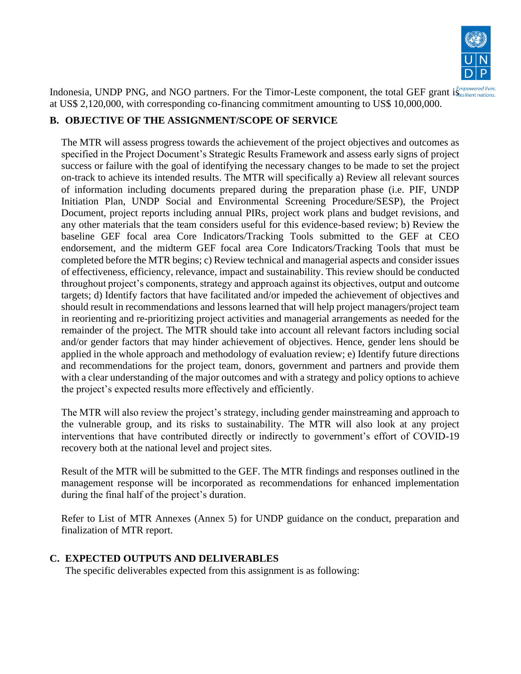

Indonesia, UNDP PNG, and NGO partners. For the Timor-Leste component, the total GEF grant is esilient nations at US\$ 2,120,000, with corresponding co-financing commitment amounting to US\$ 10,000,000.

### **B. OBJECTIVE OF THE ASSIGNMENT/SCOPE OF SERVICE**

The MTR will assess progress towards the achievement of the project objectives and outcomes as specified in the Project Document's Strategic Results Framework and assess early signs of project success or failure with the goal of identifying the necessary changes to be made to set the project on-track to achieve its intended results. The MTR will specifically a) Review all relevant sources of information including documents prepared during the preparation phase (i.e. PIF, UNDP Initiation Plan, UNDP Social and Environmental Screening Procedure/SESP), the Project Document, project reports including annual PIRs, project work plans and budget revisions, and any other materials that the team considers useful for this evidence-based review; b) Review the baseline GEF focal area Core Indicators/Tracking Tools submitted to the GEF at CEO endorsement, and the midterm GEF focal area Core Indicators/Tracking Tools that must be completed before the MTR begins; c) Review technical and managerial aspects and consider issues of effectiveness, efficiency, relevance, impact and sustainability. This review should be conducted throughout project's components, strategy and approach against its objectives, output and outcome targets; d) Identify factors that have facilitated and/or impeded the achievement of objectives and should result in recommendations and lessons learned that will help project managers/project team in reorienting and re-prioritizing project activities and managerial arrangements as needed for the remainder of the project. The MTR should take into account all relevant factors including social and/or gender factors that may hinder achievement of objectives. Hence, gender lens should be applied in the whole approach and methodology of evaluation review; e) Identify future directions and recommendations for the project team, donors, government and partners and provide them with a clear understanding of the major outcomes and with a strategy and policy options to achieve the project's expected results more effectively and efficiently.

The MTR will also review the project's strategy, including gender mainstreaming and approach to the vulnerable group, and its risks to sustainability. The MTR will also look at any project interventions that have contributed directly or indirectly to government's effort of COVID-19 recovery both at the national level and project sites.

Result of the MTR will be submitted to the GEF. The MTR findings and responses outlined in the management response will be incorporated as recommendations for enhanced implementation during the final half of the project's duration.

Refer to List of MTR Annexes (Annex 5) for UNDP guidance on the conduct, preparation and finalization of MTR report.

### **C. EXPECTED OUTPUTS AND DELIVERABLES**

The specific deliverables expected from this assignment is as following: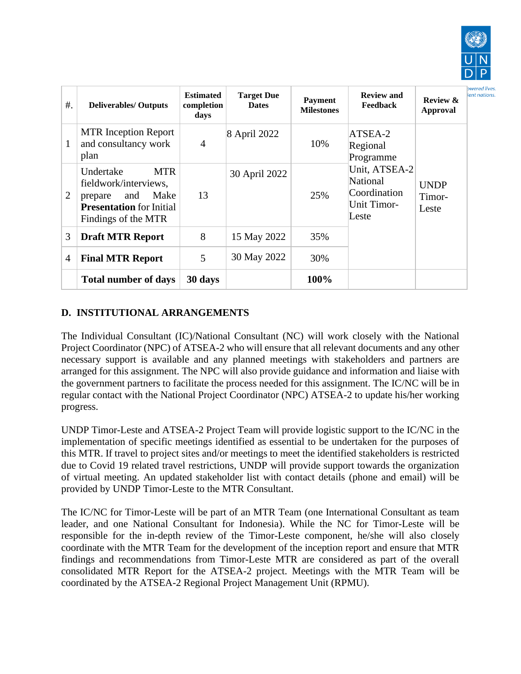

nations

| $#$ .          | <b>Deliverables/ Outputs</b>                                                                                                         | <b>Estimated</b><br>completion<br>days | <b>Target Due</b><br><b>Dates</b> | <b>Payment</b><br><b>Milestones</b> | <b>Review and</b><br><b>Feedback</b>                                     | <b>Review &amp;</b><br><b>Approval</b> |
|----------------|--------------------------------------------------------------------------------------------------------------------------------------|----------------------------------------|-----------------------------------|-------------------------------------|--------------------------------------------------------------------------|----------------------------------------|
| $\mathbf{1}$   | <b>MTR</b> Inception Report<br>and consultancy work<br>plan                                                                          | $\overline{4}$                         | 8 April 2022                      | 10%                                 | ATSEA-2<br>Regional<br>Programme                                         |                                        |
| 2              | <b>MTR</b><br>Undertake<br>fieldwork/interviews,<br>Make<br>and<br>prepare<br><b>Presentation</b> for Initial<br>Findings of the MTR | 13                                     | 30 April 2022                     | 25%                                 | Unit, ATSEA-2<br>National<br>Coordination<br><b>Unit Timor-</b><br>Leste | <b>UNDP</b><br>Timor-<br>Leste         |
| 3              | <b>Draft MTR Report</b>                                                                                                              | 8                                      | 15 May 2022                       | 35%                                 |                                                                          |                                        |
| $\overline{4}$ | <b>Final MTR Report</b>                                                                                                              | 5                                      | 30 May 2022                       | 30%                                 |                                                                          |                                        |
|                | <b>Total number of days</b>                                                                                                          | 30 days                                |                                   | 100%                                |                                                                          |                                        |

#### **D. INSTITUTIONAL ARRANGEMENTS**

The Individual Consultant (IC)/National Consultant (NC) will work closely with the National Project Coordinator (NPC) of ATSEA-2 who will ensure that all relevant documents and any other necessary support is available and any planned meetings with stakeholders and partners are arranged for this assignment. The NPC will also provide guidance and information and liaise with the government partners to facilitate the process needed for this assignment. The IC/NC will be in regular contact with the National Project Coordinator (NPC) ATSEA-2 to update his/her working progress.

UNDP Timor-Leste and ATSEA-2 Project Team will provide logistic support to the IC/NC in the implementation of specific meetings identified as essential to be undertaken for the purposes of this MTR. If travel to project sites and/or meetings to meet the identified stakeholders is restricted due to Covid 19 related travel restrictions, UNDP will provide support towards the organization of virtual meeting. An updated stakeholder list with contact details (phone and email) will be provided by UNDP Timor-Leste to the MTR Consultant.

The IC/NC for Timor-Leste will be part of an MTR Team (one International Consultant as team leader, and one National Consultant for Indonesia). While the NC for Timor-Leste will be responsible for the in-depth review of the Timor-Leste component, he/she will also closely coordinate with the MTR Team for the development of the inception report and ensure that MTR findings and recommendations from Timor-Leste MTR are considered as part of the overall consolidated MTR Report for the ATSEA-2 project. Meetings with the MTR Team will be coordinated by the ATSEA-2 Regional Project Management Unit (RPMU).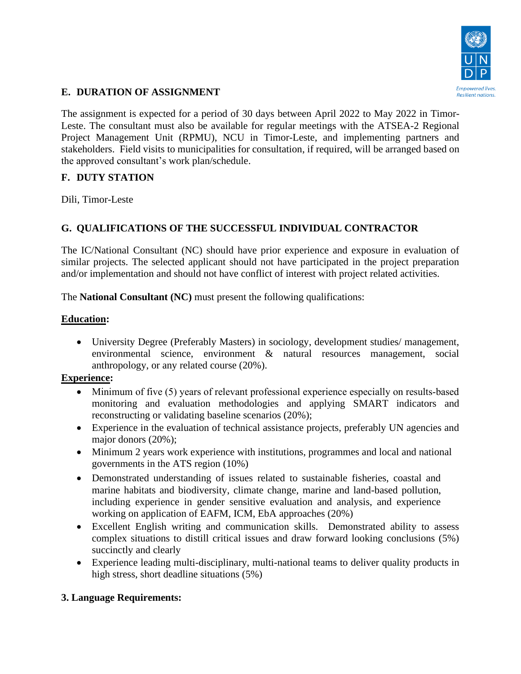

### **E. DURATION OF ASSIGNMENT**

The assignment is expected for a period of 30 days between April 2022 to May 2022 in Timor-Leste. The consultant must also be available for regular meetings with the ATSEA-2 Regional Project Management Unit (RPMU), NCU in Timor-Leste, and implementing partners and stakeholders. Field visits to municipalities for consultation, if required, will be arranged based on the approved consultant's work plan/schedule.

### **F. DUTY STATION**

Dili, Timor-Leste

# **G. QUALIFICATIONS OF THE SUCCESSFUL INDIVIDUAL CONTRACTOR**

The IC/National Consultant (NC) should have prior experience and exposure in evaluation of similar projects. The selected applicant should not have participated in the project preparation and/or implementation and should not have conflict of interest with project related activities.

The **National Consultant (NC)** must present the following qualifications:

#### **Education:**

• University Degree (Preferably Masters) in sociology, development studies/ management, environmental science, environment & natural resources management, social anthropology, or any related course (20%).

### **Experience:**

- Minimum of five (5) years of relevant professional experience especially on results-based monitoring and evaluation methodologies and applying SMART indicators and reconstructing or validating baseline scenarios (20%);
- Experience in the evaluation of technical assistance projects, preferably UN agencies and major donors (20%);
- Minimum 2 years work experience with institutions, programmes and local and national governments in the ATS region (10%)
- Demonstrated understanding of issues related to sustainable fisheries, coastal and marine habitats and biodiversity, climate change, marine and land-based pollution, including experience in gender sensitive evaluation and analysis, and experience working on application of EAFM, ICM, EbA approaches (20%)
- Excellent English writing and communication skills. Demonstrated ability to assess complex situations to distill critical issues and draw forward looking conclusions (5%) succinctly and clearly
- Experience leading multi-disciplinary, multi-national teams to deliver quality products in high stress, short deadline situations (5%)

### **3. Language Requirements:**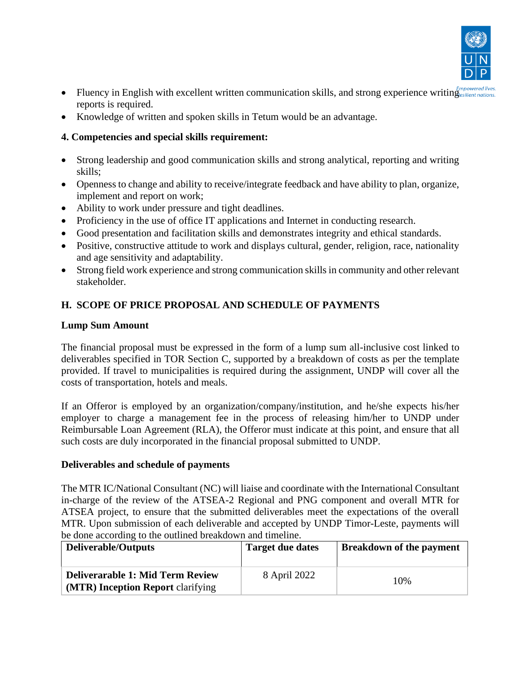

- Fluency in English with excellent written communication skills, and strong experience writing *Empowered lives*. reports is required.
- Knowledge of written and spoken skills in Tetum would be an advantage.

### **4. Competencies and special skills requirement:**

- Strong leadership and good communication skills and strong analytical, reporting and writing skills;
- Openness to change and ability to receive/integrate feedback and have ability to plan, organize, implement and report on work;
- Ability to work under pressure and tight deadlines.
- Proficiency in the use of office IT applications and Internet in conducting research.
- Good presentation and facilitation skills and demonstrates integrity and ethical standards.
- Positive, constructive attitude to work and displays cultural, gender, religion, race, nationality and age sensitivity and adaptability.
- Strong field work experience and strong communication skills in community and other relevant stakeholder.

# **H. SCOPE OF PRICE PROPOSAL AND SCHEDULE OF PAYMENTS**

#### **Lump Sum Amount**

The financial proposal must be expressed in the form of a lump sum all-inclusive cost linked to deliverables specified in TOR Section C, supported by a breakdown of costs as per the template provided. If travel to municipalities is required during the assignment, UNDP will cover all the costs of transportation, hotels and meals.

If an Offeror is employed by an organization/company/institution, and he/she expects his/her employer to charge a management fee in the process of releasing him/her to UNDP under Reimbursable Loan Agreement (RLA), the Offeror must indicate at this point, and ensure that all such costs are duly incorporated in the financial proposal submitted to UNDP.

#### **Deliverables and schedule of payments**

The MTR IC/National Consultant (NC) will liaise and coordinate with the International Consultant in-charge of the review of the ATSEA-2 Regional and PNG component and overall MTR for ATSEA project, to ensure that the submitted deliverables meet the expectations of the overall MTR. Upon submission of each deliverable and accepted by UNDP Timor-Leste, payments will be done according to the outlined breakdown and timeline.

| <b>Deliverable/Outputs</b>                                                          | <b>Target due dates</b> | <b>Breakdown of the payment</b> |
|-------------------------------------------------------------------------------------|-------------------------|---------------------------------|
| <b>Deliverarable 1: Mid Term Review</b><br><b>(MTR)</b> Inception Report clarifying | 8 April 2022            | 10%                             |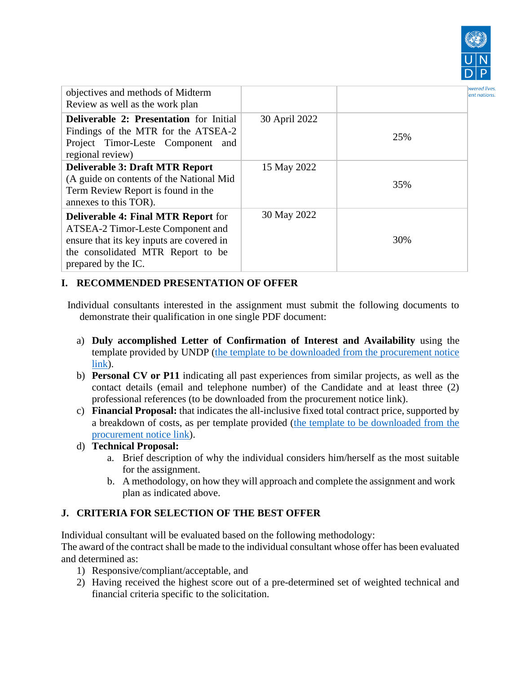

| objectives and methods of Midterm<br>Review as well as the work plan                                                                                                                     |               |     | bwered lives<br>ient nations |
|------------------------------------------------------------------------------------------------------------------------------------------------------------------------------------------|---------------|-----|------------------------------|
| <b>Deliverable 2: Presentation</b> for Initial<br>Findings of the MTR for the ATSEA-2<br>Project Timor-Leste Component and<br>regional review)                                           | 30 April 2022 | 25% |                              |
| <b>Deliverable 3: Draft MTR Report</b><br>(A guide on contents of the National Mid<br>Term Review Report is found in the<br>annexes to this TOR).                                        | 15 May 2022   | 35% |                              |
| <b>Deliverable 4: Final MTR Report for</b><br>ATSEA-2 Timor-Leste Component and<br>ensure that its key inputs are covered in<br>the consolidated MTR Report to be<br>prepared by the IC. | 30 May 2022   | 30% |                              |

# **I. RECOMMENDED PRESENTATION OF OFFER**

Individual consultants interested in the assignment must submit the following documents to demonstrate their qualification in one single PDF document:

- a) **Duly accomplished Letter of Confirmation of Interest and Availability** using the template provided by UNDP [\(the template to be downloaded from the procurement notice](https://procurement-notices.undp.org/view_file.cfm?doc_id=234643)  [link\)](https://procurement-notices.undp.org/view_file.cfm?doc_id=234643).
- b) **Personal CV or P11** indicating all past experiences from similar projects, as well as the contact details (email and telephone number) of the Candidate and at least three (2) professional references (to be downloaded from the procurement notice link).
- c) **Financial Proposal:** that indicates the all-inclusive fixed total contract price, supported by a breakdown of costs, as per template provided [\(the template to be downloaded from the](https://procurement-notices.undp.org/view_file.cfm?doc_id=234643)  [procurement notice link\)](https://procurement-notices.undp.org/view_file.cfm?doc_id=234643).
- d) **Technical Proposal:**
	- a. Brief description of why the individual considers him/herself as the most suitable for the assignment.
	- b. A methodology, on how they will approach and complete the assignment and work plan as indicated above.

# **J. CRITERIA FOR SELECTION OF THE BEST OFFER**

Individual consultant will be evaluated based on the following methodology:

The award of the contract shall be made to the individual consultant whose offer has been evaluated and determined as:

- 1) Responsive/compliant/acceptable, and
- 2) Having received the highest score out of a pre-determined set of weighted technical and financial criteria specific to the solicitation.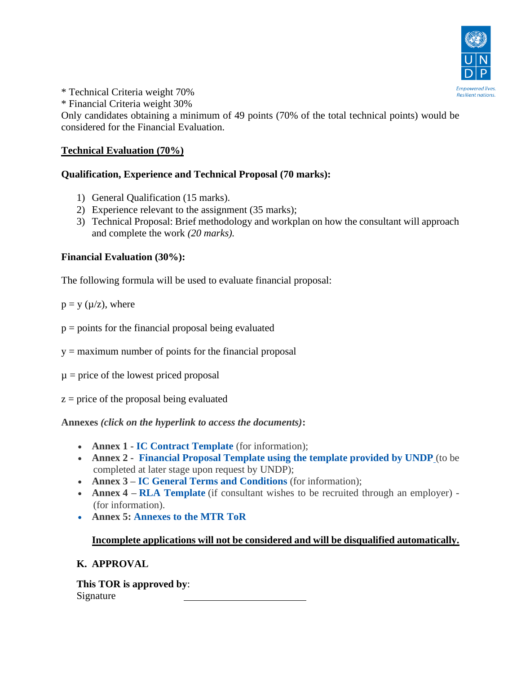

\* Technical Criteria weight 70%

\* Financial Criteria weight 30%

Only candidates obtaining a minimum of 49 points (70% of the total technical points) would be considered for the Financial Evaluation.

### **Technical Evaluation (70%)**

# **Qualification, Experience and Technical Proposal (70 marks):**

- 1) General Qualification (15 marks).
- 2) Experience relevant to the assignment (35 marks);
- 3) Technical Proposal: Brief methodology and workplan on how the consultant will approach and complete the work *(20 marks).*

# **Financial Evaluation (30%):**

The following formula will be used to evaluate financial proposal:

 $p = y$  ( $\mu$ /z), where

 $p =$  points for the financial proposal being evaluated

 $y =$  maximum number of points for the financial proposal

 $\mu$  = price of the lowest priced proposal

 $z = price$  of the proposal being evaluated

**Annexes** *(click on the hyperlink to access the documents)***:**

- **Annex 1 - [IC Contract Template](https://eur03.safelinks.protection.outlook.com/?url=https%3A%2F%2Finfo.undp.org%2Fgssu%2FeRecruit%2FTemplates_IC%2FAnnexII.pdf&data=02%7C01%7Cmohammadkhalid.alimkhail%40undp.org%7Cc5584ee1d47a4191368108d75aa64cfe%7Cb3e5db5e2944483799f57488ace54319%7C0%7C0%7C637077542604846870&sdata=yG5aHd9Ev2FGm4XjhySImRKFCxTcnDycarIwLz0hTkU%3D&reserved=0)** (for information);
- **Annex 2 [Financial Proposal Template using the template provided by UNDP](https://procurement-notices.undp.org/view_file.cfm?doc_id=234643)** (to be completed at later stage upon request by UNDP);
- **Annex 3 – [IC General Terms and Conditions](https://eur03.safelinks.protection.outlook.com/?url=https%3A%2F%2Finfo.undp.org%2Fgssu%2FeRecruit%2FTemplates_IC%2FAnnexIII.pdf&data=02%7C01%7Cmohammadkhalid.alimkhail%40undp.org%7Cc5584ee1d47a4191368108d75aa64cfe%7Cb3e5db5e2944483799f57488ace54319%7C0%7C0%7C637077542604856862&sdata=J4XiH%2BBg6y0tgduJ1667P0onMiyFNZBdJKNNczPB0nc%3D&reserved=0)** (for information);
- **Annex 4 [RLA Template](https://eur03.safelinks.protection.outlook.com/?url=https%3A%2F%2Finfo.undp.org%2Fgssu%2FeRecruit%2FTemplates_IC%2FAnnexIV.pdf&data=02%7C01%7Cmohammadkhalid.alimkhail%40undp.org%7Cc5584ee1d47a4191368108d75aa64cfe%7Cb3e5db5e2944483799f57488ace54319%7C0%7C0%7C637077542604856862&sdata=0IsP0zrOiRNUbvl04onlWEP3E6GPFBJ%2F5Dhoki1yxuE%3D&reserved=0)** (if consultant wishes to be recruited through an employer) -(for information).
- **Annex 5: Annexes to the MTR ToR**

### **Incomplete applications will not be considered and will be disqualified automatically.**

# **K. APPROVAL**

**This TOR is approved by**: Signature